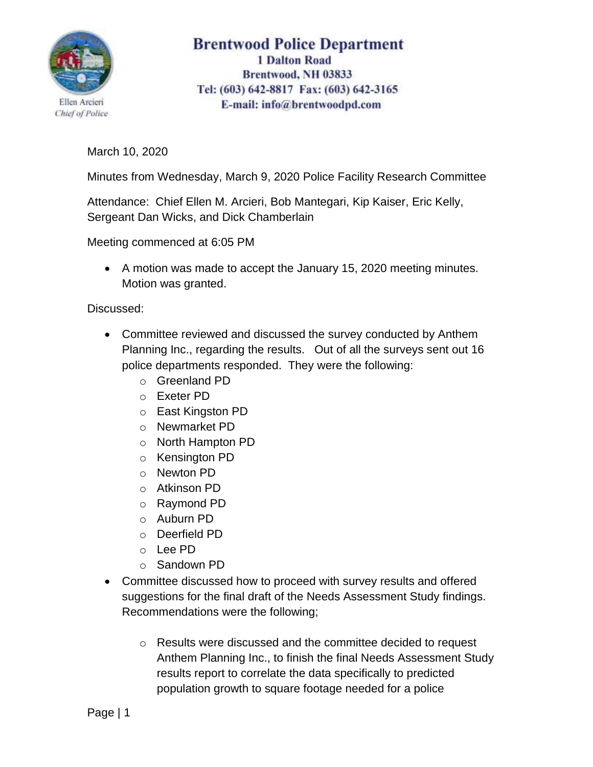

## **Brentwood Police Department 1 Dalton Road** Brentwood, NH 03833 Tel: (603) 642-8817 Fax: (603) 642-3165 E-mail: info@brentwoodpd.com

March 10, 2020

Minutes from Wednesday, March 9, 2020 Police Facility Research Committee

Attendance: Chief Ellen M. Arcieri, Bob Mantegari, Kip Kaiser, Eric Kelly, Sergeant Dan Wicks, and Dick Chamberlain

Meeting commenced at 6:05 PM

• A motion was made to accept the January 15, 2020 meeting minutes. Motion was granted.

Discussed:

- Committee reviewed and discussed the survey conducted by Anthem Planning Inc., regarding the results. Out of all the surveys sent out 16 police departments responded. They were the following:
	- o Greenland PD
	- o Exeter PD
	- o East Kingston PD
	- o Newmarket PD
	- o North Hampton PD
	- o Kensington PD
	- o Newton PD
	- o Atkinson PD
	- o Raymond PD
	- o Auburn PD
	- o Deerfield PD
	- o Lee PD
	- o Sandown PD
- Committee discussed how to proceed with survey results and offered suggestions for the final draft of the Needs Assessment Study findings. Recommendations were the following;
	- o Results were discussed and the committee decided to request Anthem Planning Inc., to finish the final Needs Assessment Study results report to correlate the data specifically to predicted population growth to square footage needed for a police